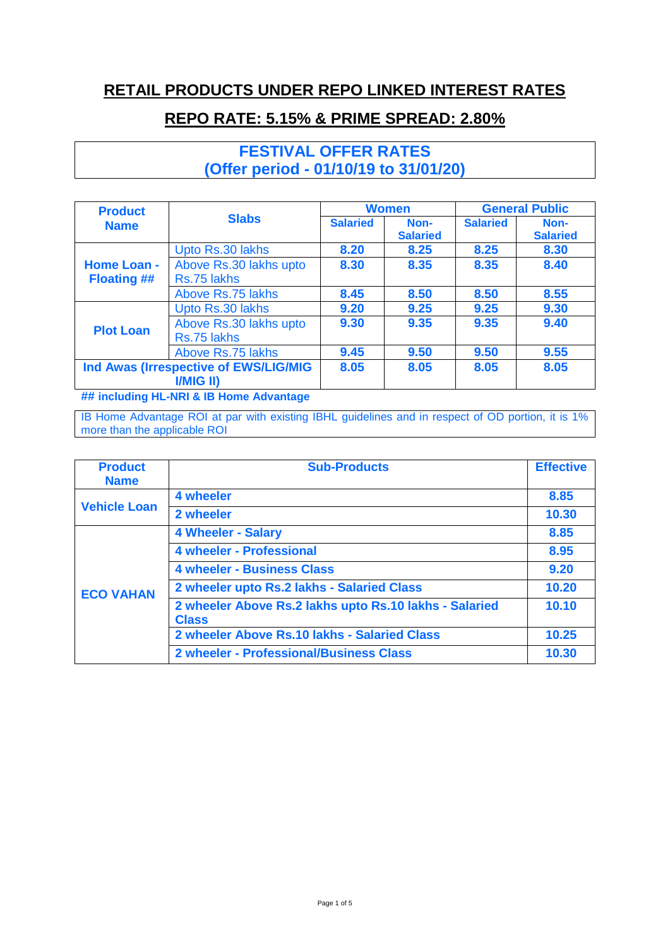## **RETAIL PRODUCTS UNDER REPO LINKED INTEREST RATES**

## **REPO RATE: 5.15% & PRIME SPREAD: 2.80%**

**FESTIVAL OFFER RATES (Offer period - 01/10/19 to 31/01/20)**

| <b>Product</b>                                     | <b>Slabs</b>                          | <b>Women</b>    |                         | <b>General Public</b> |                         |
|----------------------------------------------------|---------------------------------------|-----------------|-------------------------|-----------------------|-------------------------|
| <b>Name</b>                                        |                                       | <b>Salaried</b> | Non-<br><b>Salaried</b> | <b>Salaried</b>       | Non-<br><b>Salaried</b> |
|                                                    | Upto Rs.30 lakhs                      | 8.20            | 8.25                    | 8.25                  | 8.30                    |
| <b>Home Loan -</b><br><b>Floating ##</b>           | Above Rs.30 lakhs upto<br>Rs.75 lakhs | 8.30            | 8.35                    | 8.35                  | 8.40                    |
|                                                    | Above Rs.75 lakhs                     | 8.45            | 8.50                    | 8.50                  | 8.55                    |
|                                                    | Upto Rs.30 lakhs                      | 9.20            | 9.25                    | 9.25                  | 9.30                    |
| <b>Plot Loan</b>                                   | Above Rs.30 lakhs upto<br>Rs.75 lakhs | 9.30            | 9.35                    | 9.35                  | 9.40                    |
|                                                    | Above Rs.75 lakhs                     | 9.45            | 9.50                    | 9.50                  | 9.55                    |
| Ind Awas (Irrespective of EWS/LIG/MIG<br>I/MIG II) |                                       | 8.05            | 8.05                    | 8.05                  | 8.05                    |

**## including HL-NRI & IB Home Advantage**

IB Home Advantage ROI at par with existing IBHL guidelines and in respect of OD portion, it is 1% more than the applicable ROI

| <b>Product</b><br><b>Name</b> | <b>Sub-Products</b>                                                    | <b>Effective</b> |
|-------------------------------|------------------------------------------------------------------------|------------------|
|                               | 4 wheeler                                                              | 8.85             |
| <b>Vehicle Loan</b>           | 2 wheeler                                                              | 10.30            |
| <b>ECO VAHAN</b>              | <b>4 Wheeler - Salary</b>                                              | 8.85             |
|                               | <b>4 wheeler - Professional</b>                                        | 8.95             |
|                               | <b>4 wheeler - Business Class</b>                                      | 9.20             |
|                               | 2 wheeler upto Rs.2 lakhs - Salaried Class                             | 10.20            |
|                               | 2 wheeler Above Rs.2 lakhs upto Rs.10 lakhs - Salaried<br><b>Class</b> | 10.10            |
|                               | 2 wheeler Above Rs.10 lakhs - Salaried Class                           | 10.25            |
|                               | <b>2 wheeler - Professional/Business Class</b>                         | 10.30            |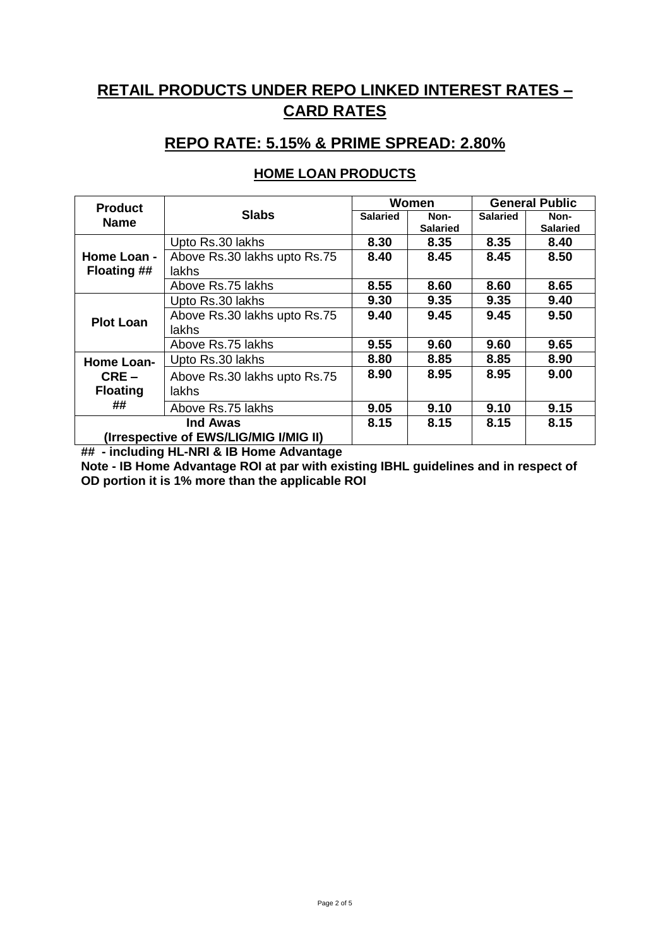# **RETAIL PRODUCTS UNDER REPO LINKED INTEREST RATES – CARD RATES**

## **REPO RATE: 5.15% & PRIME SPREAD: 2.80%**

#### **HOME LOAN PRODUCTS**

| <b>Product</b>                         |                              | Women           |                 | <b>General Public</b> |                 |
|----------------------------------------|------------------------------|-----------------|-----------------|-----------------------|-----------------|
| <b>Name</b>                            | <b>Slabs</b>                 | <b>Salaried</b> | Non-            | <b>Salaried</b>       | Non-            |
|                                        |                              |                 | <b>Salaried</b> |                       | <b>Salaried</b> |
|                                        | Upto Rs.30 lakhs             | 8.30            | 8.35            | 8.35                  | 8.40            |
| Home Loan -                            | Above Rs.30 lakhs upto Rs.75 | 8.40            | 8.45            | 8.45                  | 8.50            |
| <b>Floating ##</b>                     | lakhs                        |                 |                 |                       |                 |
|                                        | Above Rs.75 lakhs            | 8.55            | 8.60            | 8.60                  | 8.65            |
|                                        | Upto Rs.30 lakhs             | 9.30            | 9.35            | 9.35                  | 9.40            |
| <b>Plot Loan</b>                       | Above Rs.30 lakhs upto Rs.75 | 9.40            | 9.45            | 9.45                  | 9.50            |
|                                        | lakhs                        |                 |                 |                       |                 |
|                                        | Above Rs.75 lakhs            | 9.55            | 9.60            | 9.60                  | 9.65            |
| Home Loan-                             | Upto Rs.30 lakhs             | 8.80            | 8.85            | 8.85                  | 8.90            |
| $CRE-$                                 | Above Rs.30 lakhs upto Rs.75 | 8.90            | 8.95            | 8.95                  | 9.00            |
| <b>Floating</b>                        | lakhs                        |                 |                 |                       |                 |
| ##                                     | Above Rs.75 lakhs            | 9.05            | 9.10            | 9.10                  | 9.15            |
| Ind Awas                               |                              | 8.15            | 8.15            | 8.15                  | 8.15            |
| (Irrespective of EWS/LIG/MIG I/MIG II) |                              |                 |                 |                       |                 |

**## - including HL-NRI & IB Home Advantage**

**Note - IB Home Advantage ROI at par with existing IBHL guidelines and in respect of OD portion it is 1% more than the applicable ROI**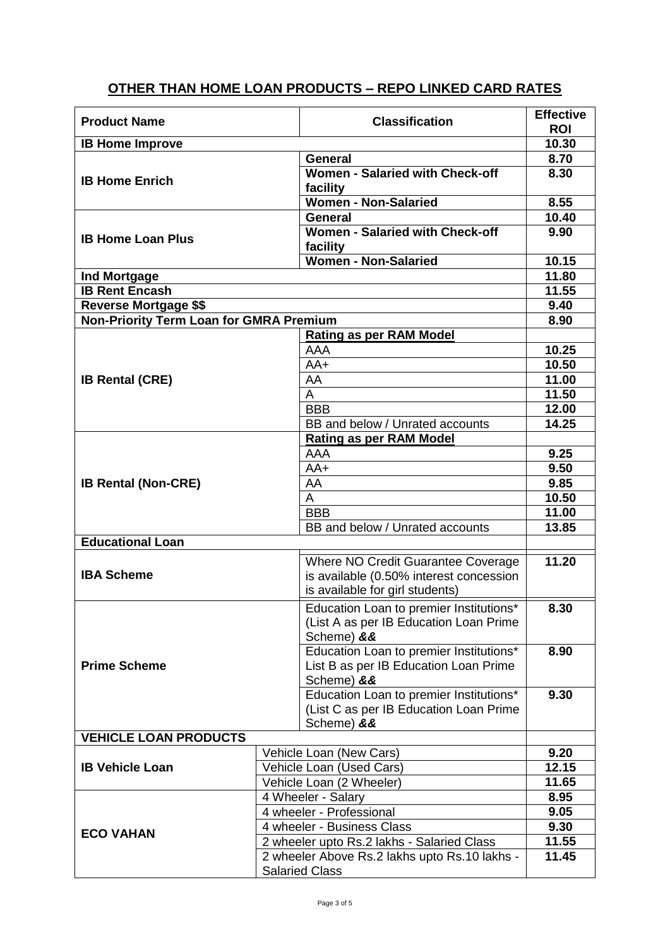### **OTHER THAN HOME LOAN PRODUCTS – REPO LINKED CARD RATES**

| <b>Product Name</b>                            |  | <b>Classification</b>                                                                                            | <b>Effective</b><br><b>ROI</b> |
|------------------------------------------------|--|------------------------------------------------------------------------------------------------------------------|--------------------------------|
| <b>IB Home Improve</b>                         |  |                                                                                                                  | 10.30                          |
| <b>IB Home Enrich</b>                          |  | <b>General</b>                                                                                                   | 8.70                           |
|                                                |  | Women - Salaried with Check-off<br>facility                                                                      | 8.30                           |
|                                                |  | <b>Women - Non-Salaried</b>                                                                                      | 8.55                           |
| <b>IB Home Loan Plus</b>                       |  | <b>General</b>                                                                                                   | 10.40                          |
|                                                |  | Women - Salaried with Check-off                                                                                  | 9.90                           |
|                                                |  | facility                                                                                                         |                                |
|                                                |  | <b>Women - Non-Salaried</b>                                                                                      | 10.15                          |
| <b>Ind Mortgage</b>                            |  |                                                                                                                  | 11.80                          |
| <b>IB Rent Encash</b>                          |  | 11.55                                                                                                            |                                |
| <b>Reverse Mortgage \$\$</b>                   |  |                                                                                                                  | 9.40                           |
| <b>Non-Priority Term Loan for GMRA Premium</b> |  |                                                                                                                  | 8.90                           |
|                                                |  | Rating as per RAM Model                                                                                          |                                |
|                                                |  | AAA                                                                                                              | 10.25                          |
|                                                |  | $AA+$                                                                                                            | 10.50                          |
| <b>IB Rental (CRE)</b>                         |  | AA                                                                                                               | 11.00                          |
|                                                |  | $\overline{A}$                                                                                                   | 11.50                          |
|                                                |  | <b>BBB</b>                                                                                                       | 12.00                          |
|                                                |  | BB and below / Unrated accounts                                                                                  | 14.25                          |
|                                                |  | <b>Rating as per RAM Model</b>                                                                                   |                                |
|                                                |  | AAA                                                                                                              | 9.25                           |
|                                                |  | $AA+$                                                                                                            | 9.50                           |
| <b>IB Rental (Non-CRE)</b>                     |  | AA                                                                                                               | 9.85                           |
|                                                |  | $\overline{A}$                                                                                                   | 10.50                          |
|                                                |  | <b>BBB</b>                                                                                                       | 11.00                          |
|                                                |  | BB and below / Unrated accounts                                                                                  | 13.85                          |
| <b>Educational Loan</b>                        |  |                                                                                                                  |                                |
| <b>IBA Scheme</b>                              |  | Where NO Credit Guarantee Coverage<br>is available (0.50% interest concession<br>is available for girl students) | 11.20                          |
| <b>Prime Scheme</b>                            |  | Education Loan to premier Institutions*<br>(List A as per IB Education Loan Prime<br>Scheme) &&                  | 8.30                           |
|                                                |  | Education Loan to premier Institutions*<br>List B as per IB Education Loan Prime<br>Scheme) &&                   | 8.90                           |
|                                                |  | Education Loan to premier Institutions*<br>(List C as per IB Education Loan Prime<br>Scheme) &&                  | 9.30                           |
| <b>VEHICLE LOAN PRODUCTS</b>                   |  |                                                                                                                  |                                |
| <b>IB Vehicle Loan</b>                         |  | Vehicle Loan (New Cars)                                                                                          | 9.20<br>12.15                  |
|                                                |  | Vehicle Loan (Used Cars)                                                                                         |                                |
|                                                |  | Vehicle Loan (2 Wheeler)                                                                                         | 11.65                          |
|                                                |  | 4 Wheeler - Salary                                                                                               | 8.95                           |
|                                                |  | 4 wheeler - Professional                                                                                         | 9.05                           |
| <b>ECO VAHAN</b>                               |  | 4 wheeler - Business Class                                                                                       | 9.30<br>11.55                  |
|                                                |  | 2 wheeler upto Rs.2 lakhs - Salaried Class                                                                       |                                |
|                                                |  | 2 wheeler Above Rs.2 lakhs upto Rs.10 lakhs -<br><b>Salaried Class</b>                                           | 11.45                          |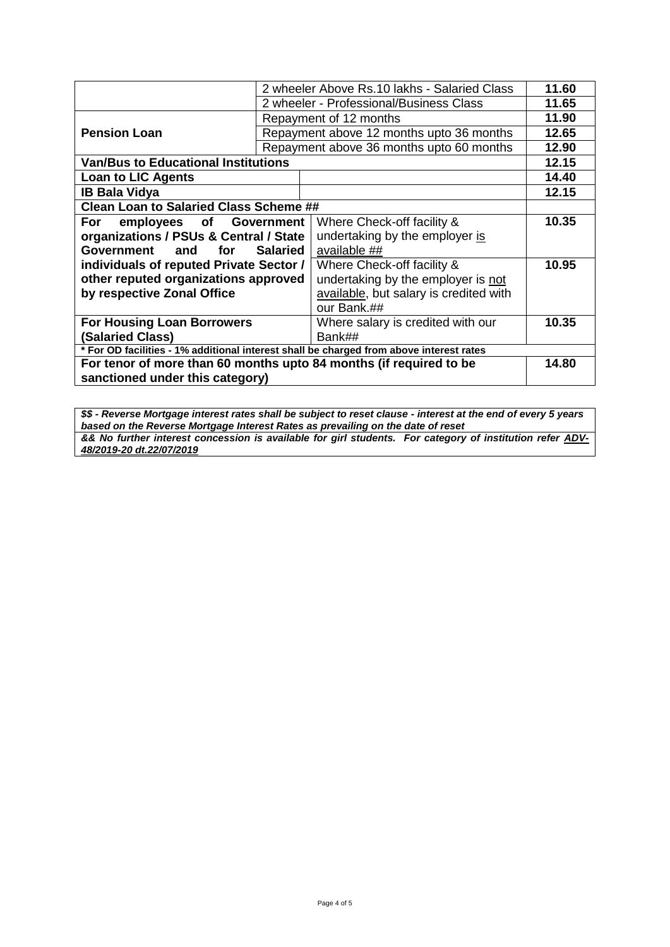|                                                                                         |                                         | 2 wheeler Above Rs.10 lakhs - Salaried Class | 11.60 |
|-----------------------------------------------------------------------------------------|-----------------------------------------|----------------------------------------------|-------|
|                                                                                         | 2 wheeler - Professional/Business Class |                                              |       |
|                                                                                         |                                         | Repayment of 12 months                       | 11.90 |
| <b>Pension Loan</b>                                                                     |                                         | Repayment above 12 months upto 36 months     | 12.65 |
|                                                                                         |                                         | Repayment above 36 months upto 60 months     | 12.90 |
| <b>Van/Bus to Educational Institutions</b>                                              |                                         |                                              | 12.15 |
| <b>Loan to LIC Agents</b>                                                               |                                         |                                              | 14.40 |
| <b>IB Bala Vidya</b>                                                                    |                                         |                                              | 12.15 |
| <b>Clean Loan to Salaried Class Scheme ##</b>                                           |                                         |                                              |       |
| employees of Government<br>For                                                          |                                         | Where Check-off facility &                   | 10.35 |
| organizations / PSUs & Central / State                                                  |                                         | undertaking by the employer is               |       |
| Government<br><b>Salaried</b><br>and<br>for                                             |                                         | available ##                                 |       |
| individuals of reputed Private Sector /                                                 |                                         | Where Check-off facility &                   | 10.95 |
| other reputed organizations approved                                                    |                                         | undertaking by the employer is not           |       |
| by respective Zonal Office                                                              |                                         | available, but salary is credited with       |       |
|                                                                                         |                                         | our Bank.##                                  |       |
| <b>For Housing Loan Borrowers</b>                                                       |                                         | Where salary is credited with our            | 10.35 |
| (Salaried Class)                                                                        |                                         | Bank##                                       |       |
| * For OD facilities - 1% additional interest shall be charged from above interest rates |                                         |                                              |       |
| For tenor of more than 60 months upto 84 months (if required to be                      |                                         |                                              | 14.80 |
| sanctioned under this category)                                                         |                                         |                                              |       |

*\$\$ - Reverse Mortgage interest rates shall be subject to reset clause - interest at the end of every 5 years based on the Reverse Mortgage Interest Rates as prevailing on the date of reset && No further interest concession is available for girl students. For category of institution refer ADV-48/2019-20 dt.22/07/2019*